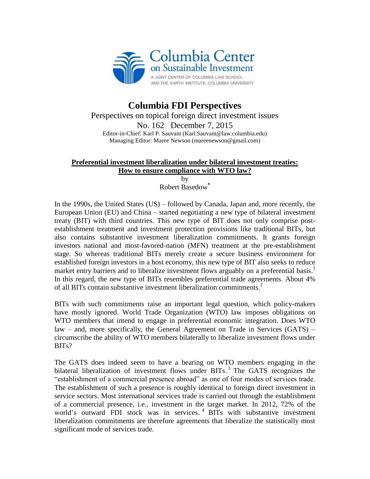

## **Columbia FDI Perspectives** Perspectives on topical foreign direct investment issues No. 162 December 7, 2015 Editor-in-Chief: Karl P. Sauvant (Karl.Sauvant@law.columbia.edu) Managing Editor: Maree Newson (mareenewson@gmail.com)

## **Preferential investment liberalization under bilateral investment treaties: How to ensure compliance with WTO law?**

by Robert Basedow**\***

In the 1990s, the United States (US) – followed by Canada, Japan and, more recently, the European Union (EU) and China – started negotiating a new type of bilateral investment treaty (BIT) with third countries. This new type of BIT does not only comprise postestablishment treatment and investment protection provisions like traditional BITs, but also contains substantive investment liberalization commitments. It grants foreign investors national and most-favored-nation (MFN) treatment at the pre-establishment stage. So whereas traditional BITs merely create a secure business environment for established foreign investors in a host economy, this new type of BIT also seeks to reduce market entry barriers and to liberalize investment flows arguably on a preferential basis.<sup>1</sup> In this regard, the new type of BITs resembles preferential trade agreements. About 4% of all BITs contain substantive investment liberalization commitments.<sup>2</sup>

BITs with such commitments raise an important legal question, which policy-makers have mostly ignored. World Trade Organization (WTO) law imposes obligations on WTO members that intend to engage in preferential economic integration. Does WTO law – and, more specifically, the General Agreement on Trade in Services (GATS) – circumscribe the ability of WTO members bilaterally to liberalize investment flows under BITs?

The GATS does indeed seem to have a bearing on WTO members engaging in the bilateral liberalization of investment flows under BITs.<sup>3</sup> The GATS recognizes the "establishment of a commercial presence abroad" as one of four modes of services trade. The establishment of such a presence is roughly identical to foreign direct investment in service sectors. Most international services trade is carried out through the establishment of a commercial presence, i.e., investment in the target market. In 2012, 72% of the world's outward FDI stock was in services. <sup>4</sup> BITs with substantive investment liberalization commitments are therefore agreements that liberalize the statistically most significant mode of services trade.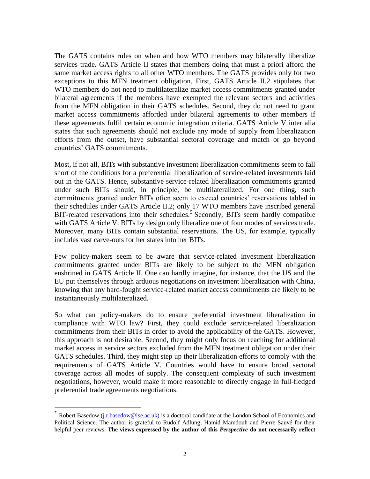The GATS contains rules on when and how WTO members may bilaterally liberalize services trade. GATS Article II states that members doing that must a priori afford the same market access rights to all other WTO members. The GATS provides only for two exceptions to this MFN treatment obligation. First, GATS Article II.2 stipulates that WTO members do not need to multilateralize market access commitments granted under bilateral agreements if the members have exempted the relevant sectors and activities from the MFN obligation in their GATS schedules. Second, they do not need to grant market access commitments afforded under bilateral agreements to other members if these agreements fulfil certain economic integration criteria. GATS Article V inter alia states that such agreements should not exclude any mode of supply from liberalization efforts from the outset, have substantial sectoral coverage and match or go beyond countries' GATS commitments.

Most, if not all, BITs with substantive investment liberalization commitments seem to fall short of the conditions for a preferential liberalization of service-related investments laid out in the GATS. Hence, substantive service-related liberalization commitments granted under such BITs should, in principle, be multilateralized. For one thing, such commitments granted under BITs often seem to exceed countries' reservations tabled in their schedules under GATS Article II.2; only 17 WTO members have inscribed general BIT-related reservations into their schedules.<sup>5</sup> Secondly, BITs seem hardly compatible with GATS Article V. BITs by design only liberalize one of four modes of services trade. Moreover, many BITs contain substantial reservations. The US, for example, typically includes vast carve-outs for her states into her BITs.

Few policy-makers seem to be aware that service-related investment liberalization commitments granted under BITs are likely to be subject to the MFN obligation enshrined in GATS Article II. One can hardly imagine, for instance, that the US and the EU put themselves through arduous negotiations on investment liberalization with China, knowing that any hard-fought service-related market access commitments are likely to be instantaneously multilateralized.

So what can policy-makers do to ensure preferential investment liberalization in compliance with WTO law? First, they could exclude service-related liberalization commitments from their BITs in order to avoid the applicability of the GATS. However, this approach is not desirable. Second, they might only focus on reaching for additional market access in service sectors excluded from the MFN treatment obligation under their GATS schedules. Third, they might step up their liberalization efforts to comply with the requirements of GATS Article V. Countries would have to ensure broad sectoral coverage across all modes of supply. The consequent complexity of such investment negotiations, however, would make it more reasonable to directly engage in full-fledged preferential trade agreements negotiations.

 $\overline{a}$ 

<sup>\*</sup> Robert Basedow [\(j.r.basedow@lse.ac.uk\)](mailto:j.r.basedow@lse.ac.uk) is a doctoral candidate at the London School of Economics and Political Science. The author is grateful to Rudolf Adlung, Hamid Mamdouh and Pierre Sauvé for their helpful peer reviews. **The views expressed by the author of this** *Perspective* **do not necessarily reflect**